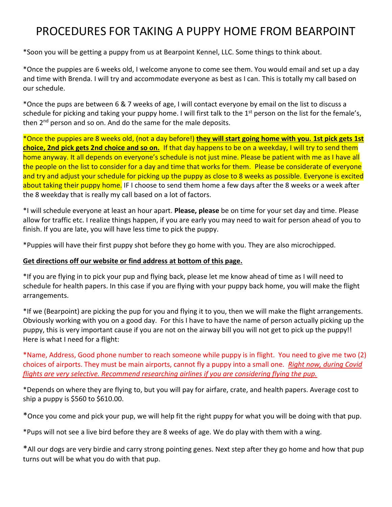## PROCEDURES FOR TAKING A PUPPY HOME FROM BEARPOINT

\*Soon you will be getting a puppy from us at Bearpoint Kennel, LLC. Some things to think about.

\*Once the puppies are 6 weeks old, I welcome anyone to come see them. You would email and set up a day and time with Brenda. I will try and accommodate everyone as best as I can. This is totally my call based on our schedule.

\*Once the pups are between 6 & 7 weeks of age, I will contact everyone by email on the list to discuss a schedule for picking and taking your puppy home. I will first talk to the 1<sup>st</sup> person on the list for the female's, then  $2^{nd}$  person and so on. And do the same for the male deposits.

\*Once the puppies are 8 weeks old, (not a day before!) **they will start going home with you. 1st pick gets 1st choice, 2nd pick gets 2nd choice and so on.** If that day happens to be on a weekday, I will try to send them home anyway. It all depends on everyone's schedule is not just mine. Please be patient with me as I have all the people on the list to consider for a day and time that works for them. Please be considerate of everyone and try and adjust your schedule for picking up the puppy as close to 8 weeks as possible. Everyone is excited about taking their puppy home. IF I choose to send them home a few days after the 8 weeks or a week after the 8 weekday that is really my call based on a lot of factors.

\*I will schedule everyone at least an hour apart. **Please, please** be on time for your set day and time. Please allow for traffic etc. I realize things happen, if you are early you may need to wait for person ahead of you to finish. If you are late, you will have less time to pick the puppy.

\*Puppies will have their first puppy shot before they go home with you. They are also microchipped.

## **Get directions off our website or find address at bottom of this page.**

\*If you are flying in to pick your pup and flying back, please let me know ahead of time as I will need to schedule for health papers. In this case if you are flying with your puppy back home, you will make the flight arrangements.

\*If we (Bearpoint) are picking the pup for you and flying it to you, then we will make the flight arrangements. Obviously working with you on a good day. For this I have to have the name of person actually picking up the puppy, this is very important cause if you are not on the airway bill you will not get to pick up the puppy!! Here is what I need for a flight:

\*Name, Address, Good phone number to reach someone while puppy is in flight. You need to give me two (2) choices of airports. They must be main airports, cannot fly a puppy into a small one. *Right now, during Covid flights are very selective. Recommend researching airlines if you are considering flying the pup.*

\*Depends on where they are flying to, but you will pay for airfare, crate, and health papers. Average cost to ship a puppy is \$560 to \$610.00.

\*Once you come and pick your pup, we will help fit the right puppy for what you will be doing with that pup.

\*Pups will not see a live bird before they are 8 weeks of age. We do play with them with a wing.

\*All our dogs are very birdie and carry strong pointing genes. Next step after they go home and how that pup turns out will be what you do with that pup.